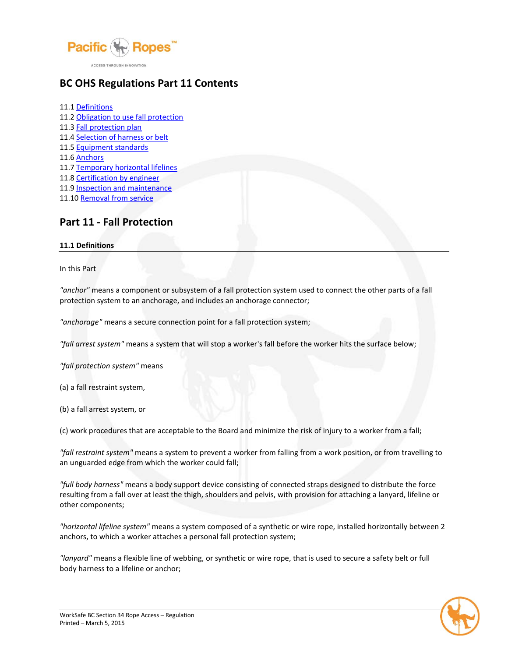

# **BC OHS Regulations Part 11 Contents**

11.1 [Definitions](http://www2.worksafebc.com/Publications/OHSRegulation/Part11.asp#SectionNumber:11.1) 11.2 [Obligation to use fall protection](http://www2.worksafebc.com/Publications/OHSRegulation/Part11.asp#SectionNumber:11.2) 11.3 [Fall protection plan](http://www2.worksafebc.com/Publications/OHSRegulation/Part11.asp#SectionNumber:11.3) 11.4 [Selection of harness or belt](http://www2.worksafebc.com/Publications/OHSRegulation/Part11.asp#SectionNumber:11.4) 11.5 [Equipment standards](http://www2.worksafebc.com/Publications/OHSRegulation/Part11.asp#SectionNumber:11.5) 11.6 [Anchors](http://www2.worksafebc.com/Publications/OHSRegulation/Part11.asp#SectionNumber:11.6) 11.7 [Temporary horizontal lifelines](http://www2.worksafebc.com/Publications/OHSRegulation/Part11.asp#SectionNumber:11.7) 11.8 [Certification by engineer](http://www2.worksafebc.com/Publications/OHSRegulation/Part11.asp#SectionNumber:11.8) 11.9 [Inspection and maintenance](http://www2.worksafebc.com/Publications/OHSRegulation/Part11.asp#SectionNumber:11.9) 11.10 [Removal from service](http://www2.worksafebc.com/Publications/OHSRegulation/Part11.asp#SectionNumber:11.10)

# **Part 11 - Fall Protection**

#### **11.1 Definitions**

In this Part

*"anchor"* means a component or subsystem of a fall protection system used to connect the other parts of a fall protection system to an anchorage, and includes an anchorage connector;

*"anchorage"* means a secure connection point for a fall protection system;

*"fall arrest system"* means a system that will stop a worker's fall before the worker hits the surface below;

*"fall protection system"* means

(a) a fall restraint system,

(b) a fall arrest system, or

(c) work procedures that are acceptable to the Board and minimize the risk of injury to a worker from a fall;

*"fall restraint system"* means a system to prevent a worker from falling from a work position, or from travelling to an unguarded edge from which the worker could fall;

*"full body harness"* means a body support device consisting of connected straps designed to distribute the force resulting from a fall over at least the thigh, shoulders and pelvis, with provision for attaching a lanyard, lifeline or other components;

*"horizontal lifeline system"* means a system composed of a synthetic or wire rope, installed horizontally between 2 anchors, to which a worker attaches a personal fall protection system;

*"lanyard"* means a flexible line of webbing, or synthetic or wire rope, that is used to secure a safety belt or full body harness to a lifeline or anchor;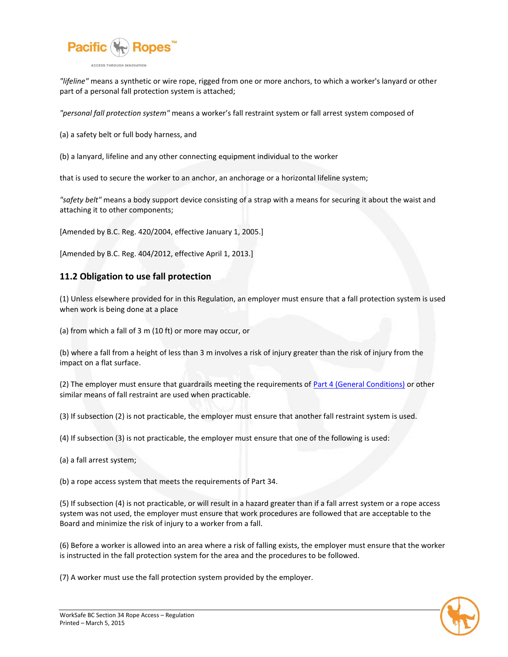

*"lifeline"* means a synthetic or wire rope, rigged from one or more anchors, to which a worker's lanyard or other part of a personal fall protection system is attached;

*"personal fall protection system"* means a worker's fall restraint system or fall arrest system composed of

(a) a safety belt or full body harness, and

(b) a lanyard, lifeline and any other connecting equipment individual to the worker

that is used to secure the worker to an anchor, an anchorage or a horizontal lifeline system;

*"safety belt"* means a body support device consisting of a strap with a means for securing it about the waist and attaching it to other components;

[Amended by B.C. Reg. 420/2004, effective January 1, 2005.]

[Amended by B.C. Reg. 404/2012, effective April 1, 2013.]

### **11.2 Obligation to use fall protection**

(1) Unless elsewhere provided for in this Regulation, an employer must ensure that a fall protection system is used when work is being done at a place

(a) from which a fall of 3 m (10 ft) or more may occur, or

(b) where a fall from a height of less than 3 m involves a risk of injury greater than the risk of injury from the impact on a flat surface.

(2) The employer must ensure that guardrails meeting the requirements of [Part 4 \(General Conditions\)](http://www2.worksafebc.com/Publications/OHSRegulation/Part4.asp#SectionNumber:4.54) or other similar means of fall restraint are used when practicable.

(3) If subsection (2) is not practicable, the employer must ensure that another fall restraint system is used.

(4) If subsection (3) is not practicable, the employer must ensure that one of the following is used:

(a) a fall arrest system;

(b) a rope access system that meets the requirements of Part 34.

(5) If subsection (4) is not practicable, or will result in a hazard greater than if a fall arrest system or a rope access system was not used, the employer must ensure that work procedures are followed that are acceptable to the Board and minimize the risk of injury to a worker from a fall.

(6) Before a worker is allowed into an area where a risk of falling exists, the employer must ensure that the worker is instructed in the fall protection system for the area and the procedures to be followed.

(7) A worker must use the fall protection system provided by the employer.

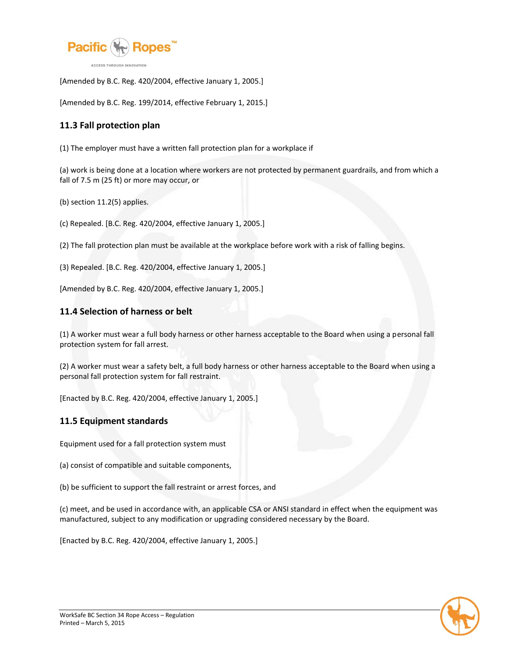

[Amended by B.C. Reg. 420/2004, effective January 1, 2005.]

[Amended by B.C. Reg. 199/2014, effective February 1, 2015.]

## **11.3 Fall protection plan**

(1) The employer must have a written fall protection plan for a workplace if

(a) work is being done at a location where workers are not protected by permanent guardrails, and from which a fall of 7.5 m (25 ft) or more may occur, or

(b) section 11.2(5) applies.

(c) Repealed. [B.C. Reg. 420/2004, effective January 1, 2005.]

(2) The fall protection plan must be available at the workplace before work with a risk of falling begins.

(3) Repealed. [B.C. Reg. 420/2004, effective January 1, 2005.]

[Amended by B.C. Reg. 420/2004, effective January 1, 2005.]

### **11.4 Selection of harness or belt**

(1) A worker must wear a full body harness or other harness acceptable to the Board when using a personal fall protection system for fall arrest.

(2) A worker must wear a safety belt, a full body harness or other harness acceptable to the Board when using a personal fall protection system for fall restraint.

[Enacted by B.C. Reg. 420/2004, effective January 1, 2005.]

#### **11.5 Equipment standards**

Equipment used for a fall protection system must

(a) consist of compatible and suitable components,

(b) be sufficient to support the fall restraint or arrest forces, and

(c) meet, and be used in accordance with, an applicable CSA or ANSI standard in effect when the equipment was manufactured, subject to any modification or upgrading considered necessary by the Board.

[Enacted by B.C. Reg. 420/2004, effective January 1, 2005.]

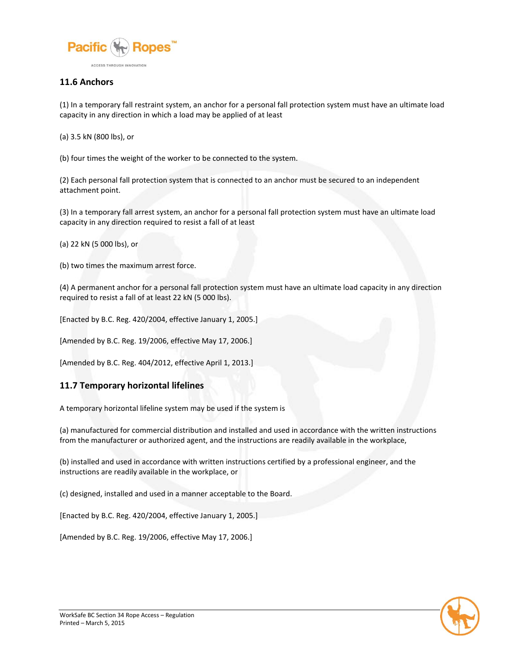

### **11.6 Anchors**

(1) In a temporary fall restraint system, an anchor for a personal fall protection system must have an ultimate load capacity in any direction in which a load may be applied of at least

(a) 3.5 kN (800 lbs), or

(b) four times the weight of the worker to be connected to the system.

(2) Each personal fall protection system that is connected to an anchor must be secured to an independent attachment point.

(3) In a temporary fall arrest system, an anchor for a personal fall protection system must have an ultimate load capacity in any direction required to resist a fall of at least

(a) 22 kN (5 000 lbs), or

(b) two times the maximum arrest force.

(4) A permanent anchor for a personal fall protection system must have an ultimate load capacity in any direction required to resist a fall of at least 22 kN (5 000 lbs).

[Enacted by B.C. Reg. 420/2004, effective January 1, 2005.]

[Amended by B.C. Reg. 19/2006, effective May 17, 2006.]

[Amended by B.C. Reg. 404/2012, effective April 1, 2013.]

#### **11.7 Temporary horizontal lifelines**

A temporary horizontal lifeline system may be used if the system is

(a) manufactured for commercial distribution and installed and used in accordance with the written instructions from the manufacturer or authorized agent, and the instructions are readily available in the workplace,

(b) installed and used in accordance with written instructions certified by a professional engineer, and the instructions are readily available in the workplace, or

(c) designed, installed and used in a manner acceptable to the Board.

[Enacted by B.C. Reg. 420/2004, effective January 1, 2005.]

[Amended by B.C. Reg. 19/2006, effective May 17, 2006.]

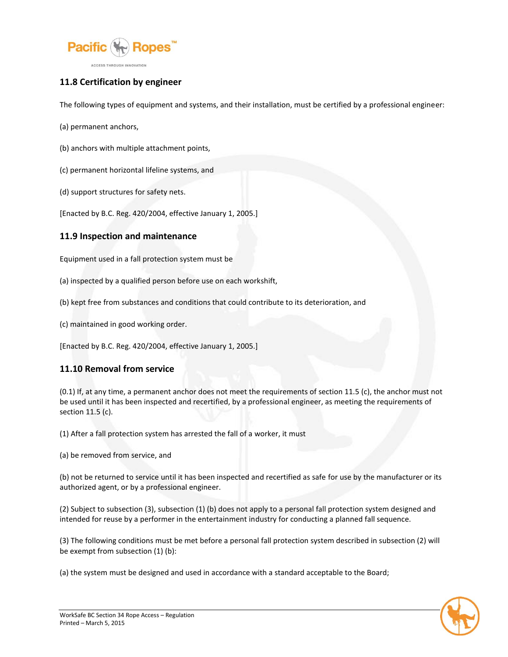

# **11.8 Certification by engineer**

The following types of equipment and systems, and their installation, must be certified by a professional engineer:

- (a) permanent anchors,
- (b) anchors with multiple attachment points,
- (c) permanent horizontal lifeline systems, and
- (d) support structures for safety nets.

[Enacted by B.C. Reg. 420/2004, effective January 1, 2005.]

### **11.9 Inspection and maintenance**

Equipment used in a fall protection system must be

(a) inspected by a qualified person before use on each workshift,

- (b) kept free from substances and conditions that could contribute to its deterioration, and
- (c) maintained in good working order.

[Enacted by B.C. Reg. 420/2004, effective January 1, 2005.]

## **11.10 Removal from service**

(0.1) If, at any time, a permanent anchor does not meet the requirements of section 11.5 (c), the anchor must not be used until it has been inspected and recertified, by a professional engineer, as meeting the requirements of section 11.5 (c).

(1) After a fall protection system has arrested the fall of a worker, it must

(a) be removed from service, and

(b) not be returned to service until it has been inspected and recertified as safe for use by the manufacturer or its authorized agent, or by a professional engineer.

(2) Subject to subsection (3), subsection (1) (b) does not apply to a personal fall protection system designed and intended for reuse by a performer in the entertainment industry for conducting a planned fall sequence.

(3) The following conditions must be met before a personal fall protection system described in subsection (2) will be exempt from subsection (1) (b):

(a) the system must be designed and used in accordance with a standard acceptable to the Board;

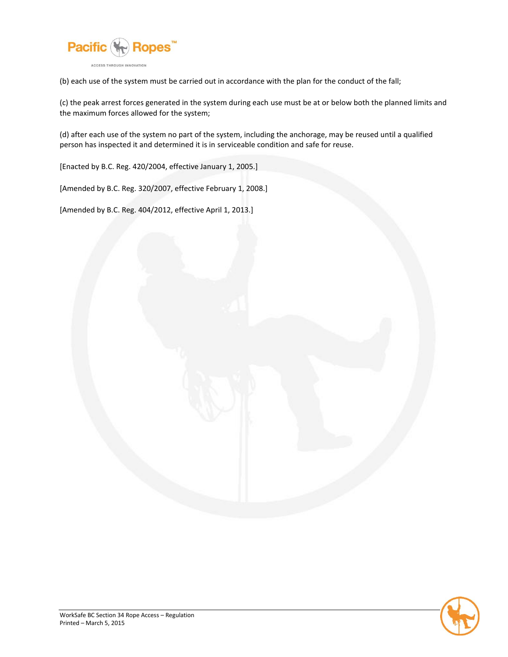

(b) each use of the system must be carried out in accordance with the plan for the conduct of the fall;

(c) the peak arrest forces generated in the system during each use must be at or below both the planned limits and the maximum forces allowed for the system;

(d) after each use of the system no part of the system, including the anchorage, may be reused until a qualified person has inspected it and determined it is in serviceable condition and safe for reuse.

[Enacted by B.C. Reg. 420/2004, effective January 1, 2005.]

[Amended by B.C. Reg. 320/2007, effective February 1, 2008.]

[Amended by B.C. Reg. 404/2012, effective April 1, 2013.]